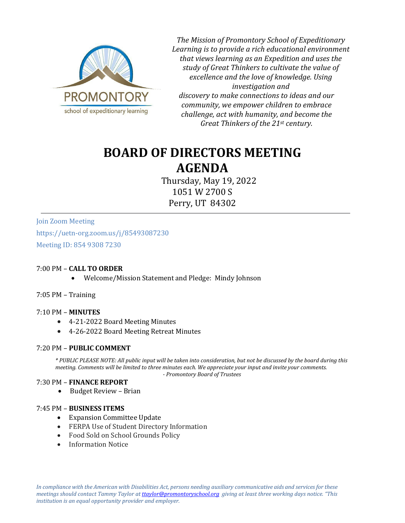

*The Mission of Promontory School of Expeditionary Learning is to provide a rich educational environment that views learning as an Expedition and uses the study of Great Thinkers to cultivate the value of excellence and the love of knowledge. Using investigation and discovery to make connections to ideas and our community, we empower children to embrace challenge, act with humanity, and become the Great Thinkers of the 21st century.*

# **BOARD OF DIRECTORS MEETING AGENDA**

Thursday, May 19, 2022 1051 W 2700 S Perry, UT 84302

Join Zoom Meeting https://uetn-org.zoom.us/j/85493087230 Meeting ID: 854 9308 7230

# 7:00 PM – **CALL TO ORDER**

• Welcome/Mission Statement and Pledge: Mindy Johnson

7:05 PM – Training

# 7:10 PM – **MINUTES**

- 4-21-2022 Board Meeting Minutes
- 4-26-2022 Board Meeting Retreat Minutes

# 7:20 PM – **PUBLIC COMMENT**

*\* PUBLIC PLEASE NOTE: All public input will be taken into consideration, but not be discussed by the board during this meeting. Comments will be limited to three minutes each. We appreciate your input and invite your comments. - Promontory Board of Trustees*

# 7:30 PM – **FINANCE REPORT**

• Budget Review – Brian

#### 7:45 PM – **BUSINESS ITEMS**

- Expansion Committee Update
- FERPA Use of Student Directory Information
- Food Sold on School Grounds Policy
- Information Notice